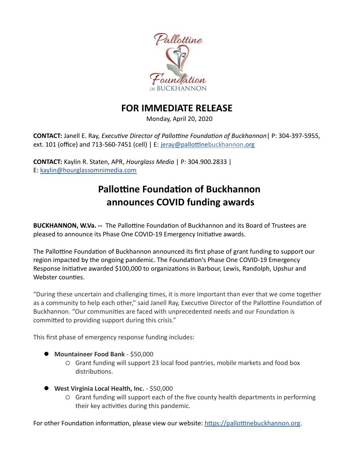

## FOR IMMEDIATE RELEASE

Monday, April 20, 2020

**CONTACT:** Janell E. Ray, *Executive Director of Pallottine Foundation of Buckhannon* | P: 304-397-5955, ext. 101 (office) and 713-560-7451 (cell) | E: jeray@pallottinebuckhannon.org

CONTACT: Kaylin R. Staten, APR, Hourglass Media | P: 304.900.2833 | E: kaylin@hourglassomnimedia.com  

# Pallottine Foundation of Buckhannon announces COVID funding awards

BUCKHANNON, W.Va. -- The Pallottine Foundation of Buckhannon and its Board of Trustees are pleased to announce its Phase One COVID-19 Emergency Initiative awards.

The Pallottine Foundation of Buckhannon announced its first phase of grant funding to support our region impacted by the ongoing pandemic. The Foundation's Phase One COVID-19 Emergency Response Initiative awarded \$100,000 to organizations in Barbour, Lewis, Randolph, Upshur and Webster counties.

"During these uncertain and challenging times, it is more important than ever that we come together as a community to help each other," said Janell Ray, Executive Director of the Pallottine Foundation of Buckhannon. "Our communities are faced with unprecedented needs and our Foundation is committed to providing support during this crisis."

This first phase of emergency response funding includes:

- Mountaineer Food Bank \$50,000
	- Grant funding will support 23 local food pantries, mobile markets and food box distributions.
- West Virginia Local Health, Inc. \$50,000
	- Grant funding will support each of the five county health departments in performing their key activities during this pandemic.

For other Foundation information, please view our website: https://pallottinebuckhannon.org.